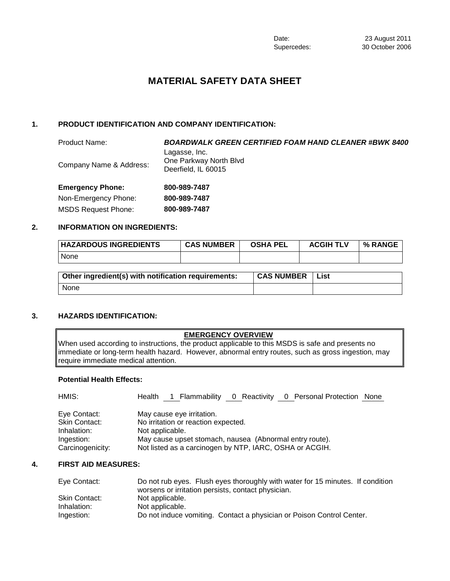# **MATERIAL SAFETY DATA SHEET**

# **1. PRODUCT IDENTIFICATION AND COMPANY IDENTIFICATION:**

| <b>Product Name:</b>       | <b>BOARDWALK GREEN CERTIFIED FOAM HAND CLEANER #BWK 8400</b>   |
|----------------------------|----------------------------------------------------------------|
| Company Name & Address:    | Lagasse, Inc.<br>One Parkway North Blvd<br>Deerfield, IL 60015 |
| <b>Emergency Phone:</b>    | 800-989-7487                                                   |
| Non-Emergency Phone:       | 800-989-7487                                                   |
| <b>MSDS Request Phone:</b> | 800-989-7487                                                   |

# **2. INFORMATION ON INGREDIENTS:**

| <b>HAZARDOUS INGREDIENTS</b> | <b>CAS NUMBER</b> | <b>OSHA PEL</b> | <b>ACGIH TLV</b> | % RANGE |
|------------------------------|-------------------|-----------------|------------------|---------|
| None                         |                   |                 |                  |         |
|                              |                   |                 |                  |         |

| Other ingredient(s) with notification requirements: | <b>CAS NUMBER</b> | List |
|-----------------------------------------------------|-------------------|------|
| None                                                |                   |      |

# **3. HAZARDS IDENTIFICATION:**

# **EMERGENCY OVERVIEW**

When used according to instructions, the product applicable to this MSDS is safe and presents no immediate or long-term health hazard. However, abnormal entry routes, such as gross ingestion, may require immediate medical attention.

# **Potential Health Effects:**

| HMIS:                | Health 1 Flammability 0 Reactivity 0 Personal Protection None |
|----------------------|---------------------------------------------------------------|
| Eye Contact:         | May cause eye irritation.                                     |
| <b>Skin Contact:</b> | No irritation or reaction expected.                           |
| Inhalation:          | Not applicable.                                               |
| Ingestion:           | May cause upset stomach, nausea (Abnormal entry route).       |
| Carcinogenicity:     | Not listed as a carcinogen by NTP, IARC, OSHA or ACGIH.       |

# **4. FIRST AID MEASURES:**

| Eye Contact:  | Do not rub eyes. Flush eyes thoroughly with water for 15 minutes. If condition |
|---------------|--------------------------------------------------------------------------------|
|               | worsens or irritation persists, contact physician.                             |
| Skin Contact: | Not applicable.                                                                |
| Inhalation:   | Not applicable.                                                                |
| Ingestion:    | Do not induce vomiting. Contact a physician or Poison Control Center.          |